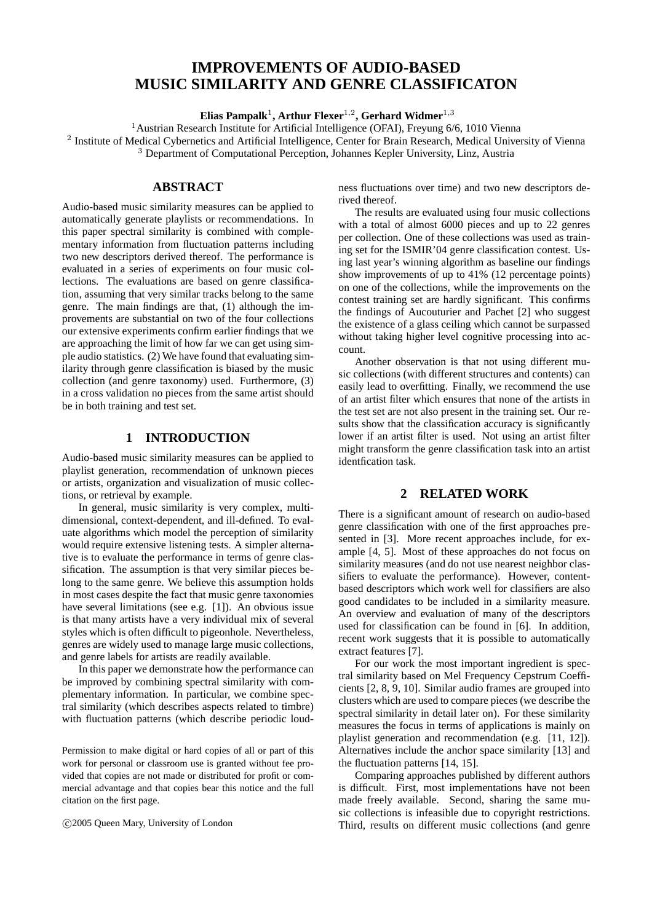# **IMPROVEMENTS OF AUDIO-BASED MUSIC SIMILARITY AND GENRE CLASSIFICATON**

**Elias Pampalk**<sup>1</sup> **, Arthur Flexer**1,<sup>2</sup> **, Gerhard Widmer**1,<sup>3</sup>

<sup>1</sup>Austrian Research Institute for Artificial Intelligence (OFAI), Freyung 6/6, 1010 Vienna

<sup>2</sup> Institute of Medical Cybernetics and Artificial Intelligence, Center for Brain Research, Medical University of Vienna <sup>3</sup> Department of Computational Perception, Johannes Kepler University, Linz, Austria

# **ABSTRACT**

Audio-based music similarity measures can be applied to automatically generate playlists or recommendations. In this paper spectral similarity is combined with complementary information from fluctuation patterns including two new descriptors derived thereof. The performance is evaluated in a series of experiments on four music collections. The evaluations are based on genre classification, assuming that very similar tracks belong to the same genre. The main findings are that, (1) although the improvements are substantial on two of the four collections our extensive experiments confirm earlier findings that we are approaching the limit of how far we can get using simple audio statistics. (2) We have found that evaluating similarity through genre classification is biased by the music collection (and genre taxonomy) used. Furthermore, (3) in a cross validation no pieces from the same artist should be in both training and test set.

# **1 INTRODUCTION**

Audio-based music similarity measures can be applied to playlist generation, recommendation of unknown pieces or artists, organization and visualization of music collections, or retrieval by example.

In general, music similarity is very complex, multidimensional, context-dependent, and ill-defined. To evaluate algorithms which model the perception of similarity would require extensive listening tests. A simpler alternative is to evaluate the performance in terms of genre classification. The assumption is that very similar pieces belong to the same genre. We believe this assumption holds in most cases despite the fact that music genre taxonomies have several limitations (see e.g. [1]). An obvious issue is that many artists have a very individual mix of several styles which is often difficult to pigeonhole. Nevertheless, genres are widely used to manage large music collections, and genre labels for artists are readily available.

In this paper we demonstrate how the performance can be improved by combining spectral similarity with complementary information. In particular, we combine spectral similarity (which describes aspects related to timbre) with fluctuation patterns (which describe periodic loud-

Permission to make digital or hard copies of all or part of this work for personal or classroom use is granted without fee provided that copies are not made or distributed for profit or commercial advantage and that copies bear this notice and the full citation on the first page.

c 2005 Queen Mary, University of London

ness fluctuations over time) and two new descriptors derived thereof.

The results are evaluated using four music collections with a total of almost 6000 pieces and up to 22 genres per collection. One of these collections was used as training set for the ISMIR'04 genre classification contest. Using last year's winning algorithm as baseline our findings show improvements of up to 41% (12 percentage points) on one of the collections, while the improvements on the contest training set are hardly significant. This confirms the findings of Aucouturier and Pachet [2] who suggest the existence of a glass ceiling which cannot be surpassed without taking higher level cognitive processing into account.

Another observation is that not using different music collections (with different structures and contents) can easily lead to overfitting. Finally, we recommend the use of an artist filter which ensures that none of the artists in the test set are not also present in the training set. Our results show that the classification accuracy is significantly lower if an artist filter is used. Not using an artist filter might transform the genre classification task into an artist identfication task.

# **2 RELATED WORK**

There is a significant amount of research on audio-based genre classification with one of the first approaches presented in [3]. More recent approaches include, for example [4, 5]. Most of these approaches do not focus on similarity measures (and do not use nearest neighbor classifiers to evaluate the performance). However, contentbased descriptors which work well for classifiers are also good candidates to be included in a similarity measure. An overview and evaluation of many of the descriptors used for classification can be found in [6]. In addition, recent work suggests that it is possible to automatically extract features [7].

For our work the most important ingredient is spectral similarity based on Mel Frequency Cepstrum Coefficients [2, 8, 9, 10]. Similar audio frames are grouped into clusters which are used to compare pieces (we describe the spectral similarity in detail later on). For these similarity measures the focus in terms of applications is mainly on playlist generation and recommendation (e.g. [11, 12]). Alternatives include the anchor space similarity [13] and the fluctuation patterns [14, 15].

Comparing approaches published by different authors is difficult. First, most implementations have not been made freely available. Second, sharing the same music collections is infeasible due to copyright restrictions. Third, results on different music collections (and genre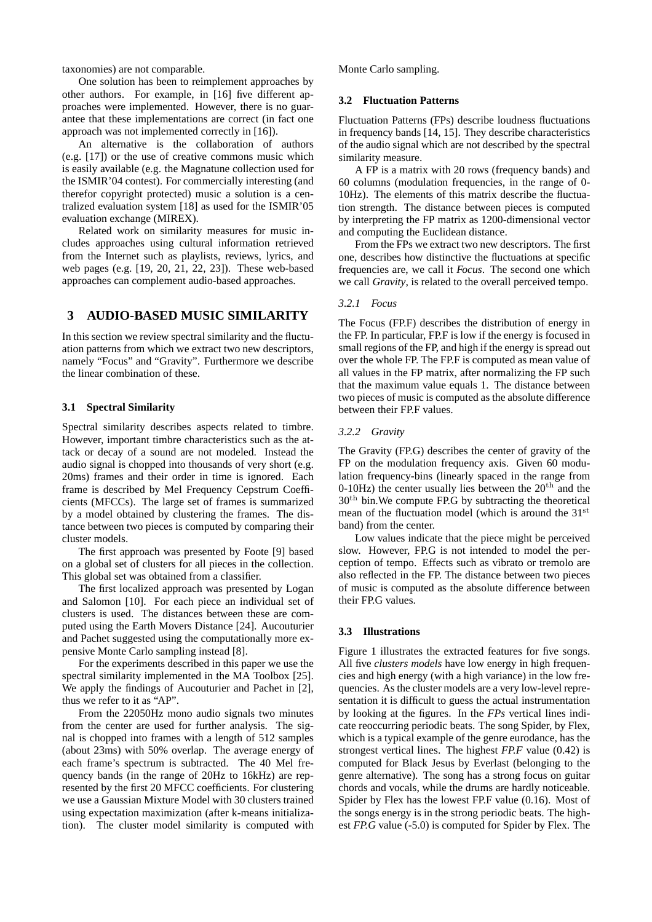taxonomies) are not comparable.

One solution has been to reimplement approaches by other authors. For example, in [16] five different approaches were implemented. However, there is no guarantee that these implementations are correct (in fact one approach was not implemented correctly in [16]).

An alternative is the collaboration of authors (e.g. [17]) or the use of creative commons music which is easily available (e.g. the Magnatune collection used for the ISMIR'04 contest). For commercially interesting (and therefor copyright protected) music a solution is a centralized evaluation system [18] as used for the ISMIR'05 evaluation exchange (MIREX).

Related work on similarity measures for music includes approaches using cultural information retrieved from the Internet such as playlists, reviews, lyrics, and web pages (e.g. [19, 20, 21, 22, 23]). These web-based approaches can complement audio-based approaches.

# **3 AUDIO-BASED MUSIC SIMILARITY**

In this section we review spectral similarity and the fluctuation patterns from which we extract two new descriptors, namely "Focus" and "Gravity". Furthermore we describe the linear combination of these.

### **3.1 Spectral Similarity**

Spectral similarity describes aspects related to timbre. However, important timbre characteristics such as the attack or decay of a sound are not modeled. Instead the audio signal is chopped into thousands of very short (e.g. 20ms) frames and their order in time is ignored. Each frame is described by Mel Frequency Cepstrum Coefficients (MFCCs). The large set of frames is summarized by a model obtained by clustering the frames. The distance between two pieces is computed by comparing their cluster models.

The first approach was presented by Foote [9] based on a global set of clusters for all pieces in the collection. This global set was obtained from a classifier.

The first localized approach was presented by Logan and Salomon [10]. For each piece an individual set of clusters is used. The distances between these are computed using the Earth Movers Distance [24]. Aucouturier and Pachet suggested using the computationally more expensive Monte Carlo sampling instead [8].

For the experiments described in this paper we use the spectral similarity implemented in the MA Toolbox [25]. We apply the findings of Aucouturier and Pachet in [2], thus we refer to it as "AP".

From the 22050Hz mono audio signals two minutes from the center are used for further analysis. The signal is chopped into frames with a length of 512 samples (about 23ms) with 50% overlap. The average energy of each frame's spectrum is subtracted. The 40 Mel frequency bands (in the range of 20Hz to 16kHz) are represented by the first 20 MFCC coefficients. For clustering we use a Gaussian Mixture Model with 30 clusters trained using expectation maximization (after k-means initialization). The cluster model similarity is computed with Monte Carlo sampling.

#### **3.2 Fluctuation Patterns**

Fluctuation Patterns (FPs) describe loudness fluctuations in frequency bands [14, 15]. They describe characteristics of the audio signal which are not described by the spectral similarity measure.

A FP is a matrix with 20 rows (frequency bands) and 60 columns (modulation frequencies, in the range of 0- 10Hz). The elements of this matrix describe the fluctuation strength. The distance between pieces is computed by interpreting the FP matrix as 1200-dimensional vector and computing the Euclidean distance.

From the FPs we extract two new descriptors. The first one, describes how distinctive the fluctuations at specific frequencies are, we call it *Focus*. The second one which we call *Gravity*, is related to the overall perceived tempo.

### *3.2.1 Focus*

The Focus (FP.F) describes the distribution of energy in the FP. In particular, FP.F is low if the energy is focused in small regions of the FP, and high if the energy is spread out over the whole FP. The FP.F is computed as mean value of all values in the FP matrix, after normalizing the FP such that the maximum value equals 1. The distance between two pieces of music is computed as the absolute difference between their FP.F values.

#### *3.2.2 Gravity*

The Gravity (FP.G) describes the center of gravity of the FP on the modulation frequency axis. Given 60 modulation frequency-bins (linearly spaced in the range from 0-10Hz) the center usually lies between the  $20<sup>th</sup>$  and the  $30<sup>th</sup>$  bin. We compute FP.G by subtracting the theoretical mean of the fluctuation model (which is around the  $31<sup>st</sup>$ band) from the center.

Low values indicate that the piece might be perceived slow. However, FP.G is not intended to model the perception of tempo. Effects such as vibrato or tremolo are also reflected in the FP. The distance between two pieces of music is computed as the absolute difference between their FP.G values.

#### **3.3 Illustrations**

Figure 1 illustrates the extracted features for five songs. All five *clusters models* have low energy in high frequencies and high energy (with a high variance) in the low frequencies. As the cluster models are a very low-level representation it is difficult to guess the actual instrumentation by looking at the figures. In the *FPs* vertical lines indicate reoccurring periodic beats. The song Spider, by Flex, which is a typical example of the genre eurodance, has the strongest vertical lines. The highest *FP.F* value (0.42) is computed for Black Jesus by Everlast (belonging to the genre alternative). The song has a strong focus on guitar chords and vocals, while the drums are hardly noticeable. Spider by Flex has the lowest FP.F value (0.16). Most of the songs energy is in the strong periodic beats. The highest *FP.G* value (-5.0) is computed for Spider by Flex. The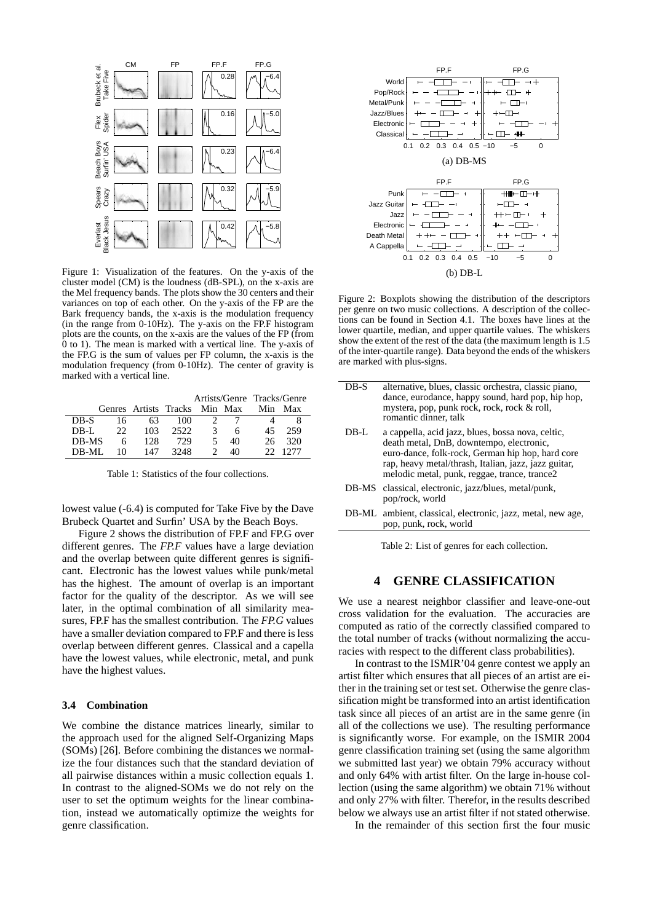

Figure 1: Visualization of the features. On the y-axis of the cluster model (CM) is the loudness (dB-SPL), on the x-axis are the Mel frequency bands. The plots show the 30 centers and their variances on top of each other. On the y-axis of the FP are the Bark frequency bands, the x-axis is the modulation frequency (in the range from 0-10Hz). The y-axis on the FP.F histogram plots are the counts, on the x-axis are the values of the FP (from 0 to 1). The mean is marked with a vertical line. The y-axis of the FP.G is the sum of values per FP column, the x-axis is the modulation frequency (from 0-10Hz). The center of gravity is marked with a vertical line.

|         |    |                       |      |               |         | Artists/Genre Tracks/Genre |      |
|---------|----|-----------------------|------|---------------|---------|----------------------------|------|
|         |    | Genres Artists Tracks |      |               | Min Max | Min                        | Max  |
| DB-S    | 16 | 63                    | 100  |               |         |                            |      |
| DB-L    | 22 | 103                   | 2522 | 3             | h       | 45                         | 259  |
| DB-MS   | 6  | 128                   | 729  | 5             | 40      | 26                         | 320  |
| $DR-MI$ | 10 | 147                   | 3248 | $\mathcal{D}$ | 40      | 22                         | 1277 |

Table 1: Statistics of the four collections.

lowest value (-6.4) is computed for Take Five by the Dave Brubeck Quartet and Surfin' USA by the Beach Boys.

Figure 2 shows the distribution of FP.F and FP.G over different genres. The *FP.F* values have a large deviation and the overlap between quite different genres is significant. Electronic has the lowest values while punk/metal has the highest. The amount of overlap is an important factor for the quality of the descriptor. As we will see later, in the optimal combination of all similarity measures, FP.F has the smallest contribution. The *FP.G* values have a smaller deviation compared to FP.F and there is less overlap between different genres. Classical and a capella have the lowest values, while electronic, metal, and punk have the highest values.

#### **3.4 Combination**

We combine the distance matrices linearly, similar to the approach used for the aligned Self-Organizing Maps (SOMs) [26]. Before combining the distances we normalize the four distances such that the standard deviation of all pairwise distances within a music collection equals 1. In contrast to the aligned-SOMs we do not rely on the user to set the optimum weights for the linear combination, instead we automatically optimize the weights for genre classification.



Figure 2: Boxplots showing the distribution of the descriptors per genre on two music collections. A description of the collections can be found in Section 4.1. The boxes have lines at the lower quartile, median, and upper quartile values. The whiskers show the extent of the rest of the data (the maximum length is 1.5 of the inter-quartile range). Data beyond the ends of the whiskers are marked with plus-signs.

| $DB-S$ | alternative, blues, classic orchestra, classic piano,<br>dance, eurodance, happy sound, hard pop, hip hop,<br>mystera, pop, punk rock, rock, rock & roll,<br>romantic dinner, talk                                                                        |
|--------|-----------------------------------------------------------------------------------------------------------------------------------------------------------------------------------------------------------------------------------------------------------|
| DB-L   | a cappella, acid jazz, blues, bossa nova, celtic,<br>death metal, DnB, downtempo, electronic,<br>euro-dance, folk-rock, German hip hop, hard core<br>rap, heavy metal/thrash, Italian, jazz, jazz guitar,<br>melodic metal, punk, reggae, trance, trance2 |
|        | DB-MS classical, electronic, jazz/blues, metal/punk,<br>pop/rock, world                                                                                                                                                                                   |
|        | DB-ML ambient, classical, electronic, jazz, metal, new age,<br>pop, punk, rock, world                                                                                                                                                                     |

Table 2: List of genres for each collection.

# **4 GENRE CLASSIFICATION**

We use a nearest neighbor classifier and leave-one-out cross validation for the evaluation. The accuracies are computed as ratio of the correctly classified compared to the total number of tracks (without normalizing the accuracies with respect to the different class probabilities).

In contrast to the ISMIR'04 genre contest we apply an artist filter which ensures that all pieces of an artist are either in the training set or test set. Otherwise the genre classification might be transformed into an artist identification task since all pieces of an artist are in the same genre (in all of the collections we use). The resulting performance is significantly worse. For example, on the ISMIR 2004 genre classification training set (using the same algorithm we submitted last year) we obtain 79% accuracy without and only 64% with artist filter. On the large in-house collection (using the same algorithm) we obtain 71% without and only 27% with filter. Therefor, in the results described below we always use an artist filter if not stated otherwise.

In the remainder of this section first the four music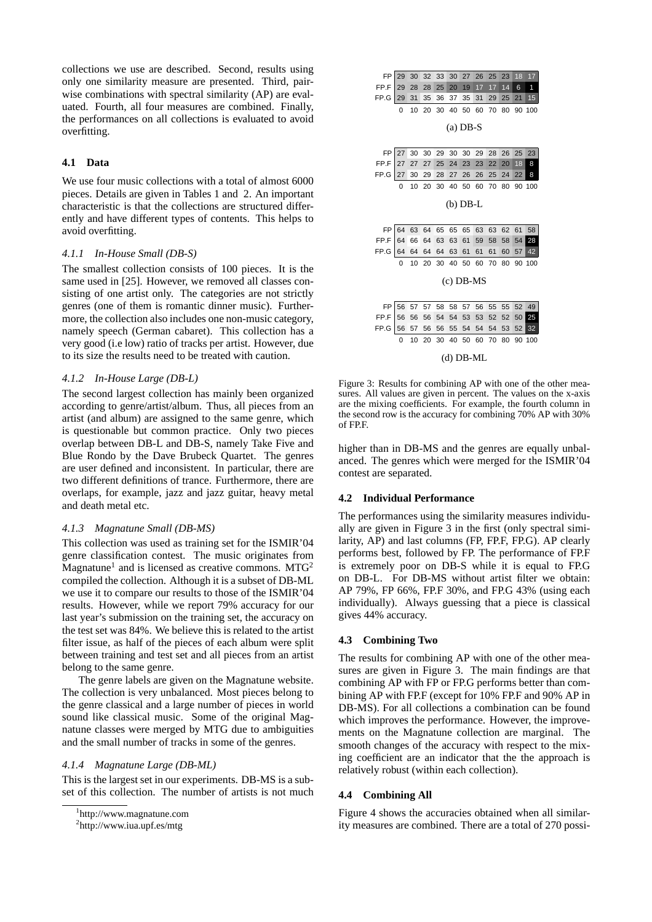collections we use are described. Second, results using only one similarity measure are presented. Third, pairwise combinations with spectral similarity (AP) are evaluated. Fourth, all four measures are combined. Finally, the performances on all collections is evaluated to avoid overfitting.

### **4.1 Data**

We use four music collections with a total of almost 6000 pieces. Details are given in Tables 1 and 2. An important characteristic is that the collections are structured differently and have different types of contents. This helps to avoid overfitting.

#### *4.1.1 In-House Small (DB-S)*

The smallest collection consists of 100 pieces. It is the same used in [25]. However, we removed all classes consisting of one artist only. The categories are not strictly genres (one of them is romantic dinner music). Furthermore, the collection also includes one non-music category, namely speech (German cabaret). This collection has a very good (i.e low) ratio of tracks per artist. However, due to its size the results need to be treated with caution.

#### *4.1.2 In-House Large (DB-L)*

The second largest collection has mainly been organized according to genre/artist/album. Thus, all pieces from an artist (and album) are assigned to the same genre, which is questionable but common practice. Only two pieces overlap between DB-L and DB-S, namely Take Five and Blue Rondo by the Dave Brubeck Quartet. The genres are user defined and inconsistent. In particular, there are two different definitions of trance. Furthermore, there are overlaps, for example, jazz and jazz guitar, heavy metal and death metal etc.

#### *4.1.3 Magnatune Small (DB-MS)*

This collection was used as training set for the ISMIR'04 genre classification contest. The music originates from Magnatune<sup>1</sup> and is licensed as creative commons. MTG<sup>2</sup> compiled the collection. Although it is a subset of DB-ML we use it to compare our results to those of the ISMIR'04 results. However, while we report 79% accuracy for our last year's submission on the training set, the accuracy on the test set was 84%. We believe this is related to the artist filter issue, as half of the pieces of each album were split between training and test set and all pieces from an artist belong to the same genre.

The genre labels are given on the Magnatune website. The collection is very unbalanced. Most pieces belong to the genre classical and a large number of pieces in world sound like classical music. Some of the original Magnatune classes were merged by MTG due to ambiguities and the small number of tracks in some of the genres.

#### *4.1.4 Magnatune Large (DB-ML)*

This is the largest set in our experiments. DB-MS is a subset of this collection. The number of artists is not much



Figure 3: Results for combining AP with one of the other measures. All values are given in percent. The values on the x-axis are the mixing coefficients. For example, the fourth column in the second row is the accuracy for combining 70% AP with 30% of FP.F.

higher than in DB-MS and the genres are equally unbalanced. The genres which were merged for the ISMIR'04 contest are separated.

### **4.2 Individual Performance**

The performances using the similarity measures individually are given in Figure 3 in the first (only spectral similarity, AP) and last columns (FP, FP.F, FP.G). AP clearly performs best, followed by FP. The performance of FP.F is extremely poor on DB-S while it is equal to FP.G on DB-L. For DB-MS without artist filter we obtain: AP 79%, FP 66%, FP.F 30%, and FP.G 43% (using each individually). Always guessing that a piece is classical gives 44% accuracy.

### **4.3 Combining Two**

The results for combining AP with one of the other measures are given in Figure 3. The main findings are that combining AP with FP or FP.G performs better than combining AP with FP.F (except for 10% FP.F and 90% AP in DB-MS). For all collections a combination can be found which improves the performance. However, the improvements on the Magnatune collection are marginal. The smooth changes of the accuracy with respect to the mixing coefficient are an indicator that the the approach is relatively robust (within each collection).

#### **4.4 Combining All**

Figure 4 shows the accuracies obtained when all similarity measures are combined. There are a total of 270 possi-

<sup>1</sup> http://www.magnatune.com

<sup>&</sup>lt;sup>2</sup>http://www.iua.upf.es/mtg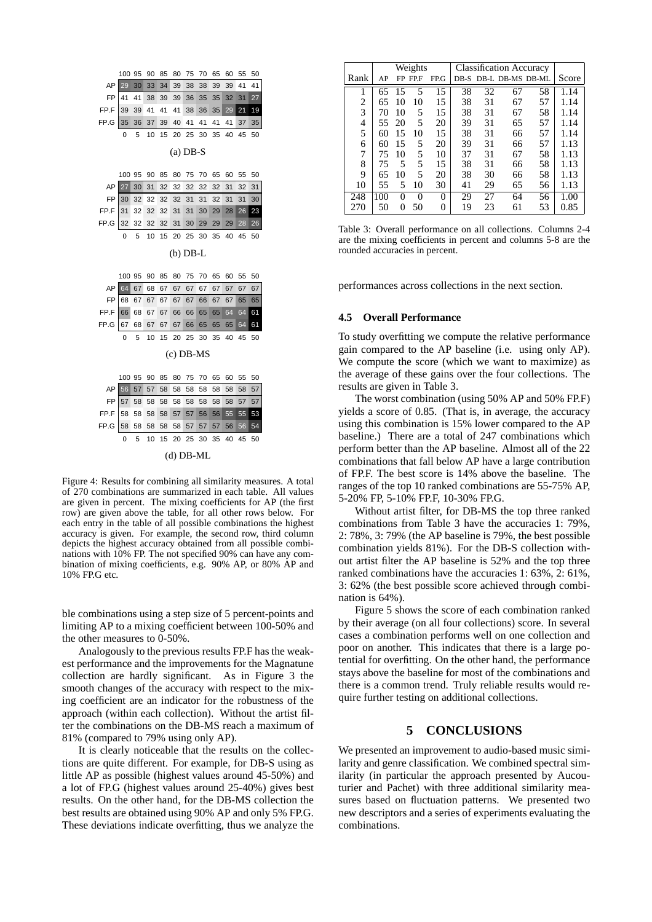

Figure 4: Results for combining all similarity measures. A total of 270 combinations are summarized in each table. All values are given in percent. The mixing coefficients for AP (the first row) are given above the table, for all other rows below. For each entry in the table of all possible combinations the highest accuracy is given. For example, the second row, third column depicts the highest accuracy obtained from all possible combinations with 10% FP. The not specified 90% can have any combination of mixing coefficients, e.g. 90% AP, or 80% AP and 10% FP.G etc.

ble combinations using a step size of 5 percent-points and limiting AP to a mixing coefficient between 100-50% and the other measures to 0-50%.

Analogously to the previous results FP.F has the weakest performance and the improvements for the Magnatune collection are hardly significant. As in Figure 3 the smooth changes of the accuracy with respect to the mixing coefficient are an indicator for the robustness of the approach (within each collection). Without the artist filter the combinations on the DB-MS reach a maximum of 81% (compared to 79% using only AP).

It is clearly noticeable that the results on the collections are quite different. For example, for DB-S using as little AP as possible (highest values around 45-50%) and a lot of FP.G (highest values around 25-40%) gives best results. On the other hand, for the DB-MS collection the best results are obtained using 90% AP and only 5% FP.G. These deviations indicate overfitting, thus we analyze the

|      | Weights |    |          |          | <b>Classification Accuracy</b> |    |                       |    |       |
|------|---------|----|----------|----------|--------------------------------|----|-----------------------|----|-------|
| Rank | AP      |    | FP FP.F  | FP.G     |                                |    | DB-S DB-L DB-MS DB-ML |    | Score |
| 1    | 65      | 15 | 5        | 15       | 38                             | 32 | 67                    | 58 | 1.14  |
| 2    | 65      | 10 | 10       | 15       | 38                             | 31 | 67                    | 57 | 1.14  |
| 3    | 70      | 10 | 5        | 15       | 38                             | 31 | 67                    | 58 | 1.14  |
| 4    | 55      | 20 | 5        | 20       | 39                             | 31 | 65                    | 57 | 1.14  |
| 5    | 60      | 15 | 10       | 15       | 38                             | 31 | 66                    | 57 | 1.14  |
| 6    | 60      | 15 | 5        | 20       | 39                             | 31 | 66                    | 57 | 1.13  |
| 7    | 75      | 10 | 5        | 10       | 37                             | 31 | 67                    | 58 | 1.13  |
| 8    | 75      | 5  | 5        | 15       | 38                             | 31 | 66                    | 58 | 1.13  |
| 9    | 65      | 10 | 5        | 20       | 38                             | 30 | 66                    | 58 | 1.13  |
| 10   | 55      | 5  | 10       | 30       | 41                             | 29 | 65                    | 56 | 1.13  |
| 248  | 100     | 0  | $\theta$ | $\theta$ | 29                             | 27 | 64                    | 56 | 1.00  |
| 270  | 50      | 0  | 50       | 0        | 19                             | 23 | 61                    | 53 | 0.85  |

Table 3: Overall performance on all collections. Columns 2-4 are the mixing coefficients in percent and columns 5-8 are the rounded accuracies in percent.

performances across collections in the next section.

#### **4.5 Overall Performance**

To study overfitting we compute the relative performance gain compared to the AP baseline (i.e. using only AP). We compute the score (which we want to maximize) as the average of these gains over the four collections. The results are given in Table 3.

The worst combination (using 50% AP and 50% FP.F) yields a score of 0.85. (That is, in average, the accuracy using this combination is 15% lower compared to the AP baseline.) There are a total of 247 combinations which perform better than the AP baseline. Almost all of the 22 combinations that fall below AP have a large contribution of FP.F. The best score is 14% above the baseline. The ranges of the top 10 ranked combinations are 55-75% AP, 5-20% FP, 5-10% FP.F, 10-30% FP.G.

Without artist filter, for DB-MS the top three ranked combinations from Table 3 have the accuracies 1: 79%, 2: 78%, 3: 79% (the AP baseline is 79%, the best possible combination yields 81%). For the DB-S collection without artist filter the AP baseline is 52% and the top three ranked combinations have the accuracies 1: 63%, 2: 61%, 3: 62% (the best possible score achieved through combination is 64%).

Figure 5 shows the score of each combination ranked by their average (on all four collections) score. In several cases a combination performs well on one collection and poor on another. This indicates that there is a large potential for overfitting. On the other hand, the performance stays above the baseline for most of the combinations and there is a common trend. Truly reliable results would require further testing on additional collections.

### **5 CONCLUSIONS**

We presented an improvement to audio-based music similarity and genre classification. We combined spectral similarity (in particular the approach presented by Aucouturier and Pachet) with three additional similarity measures based on fluctuation patterns. We presented two new descriptors and a series of experiments evaluating the combinations.